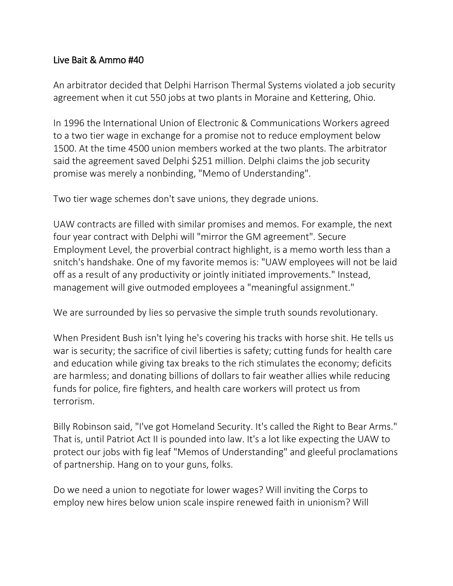## Live Bait & Ammo #40

An arbitrator decided that Delphi Harrison Thermal Systems violated a job security agreement when it cut 550 jobs at two plants in Moraine and Kettering, Ohio.

In 1996 the International Union of Electronic & Communications Workers agreed to a two tier wage in exchange for a promise not to reduce employment below 1500. At the time 4500 union members worked at the two plants. The arbitrator said the agreement saved Delphi \$251 million. Delphi claims the job security promise was merely a nonbinding, "Memo of Understanding".

Two tier wage schemes don't save unions, they degrade unions.

UAW contracts are filled with similar promises and memos. For example, the next four year contract with Delphi will "mirror the GM agreement". Secure Employment Level, the proverbial contract highlight, is a memo worth less than a snitch's handshake. One of my favorite memos is: "UAW employees will not be laid off as a result of any productivity or jointly initiated improvements." Instead, management will give outmoded employees a "meaningful assignment."

We are surrounded by lies so pervasive the simple truth sounds revolutionary.

When President Bush isn't lying he's covering his tracks with horse shit. He tells us war is security; the sacrifice of civil liberties is safety; cutting funds for health care and education while giving tax breaks to the rich stimulates the economy; deficits are harmless; and donating billions of dollars to fair weather allies while reducing funds for police, fire fighters, and health care workers will protect us from terrorism.

Billy Robinson said, "I've got Homeland Security. It's called the Right to Bear Arms." That is, until Patriot Act II is pounded into law. It's a lot like expecting the UAW to protect our jobs with fig leaf "Memos of Understanding" and gleeful proclamations of partnership. Hang on to your guns, folks.

Do we need a union to negotiate for lower wages? Will inviting the Corps to employ new hires below union scale inspire renewed faith in unionism? Will